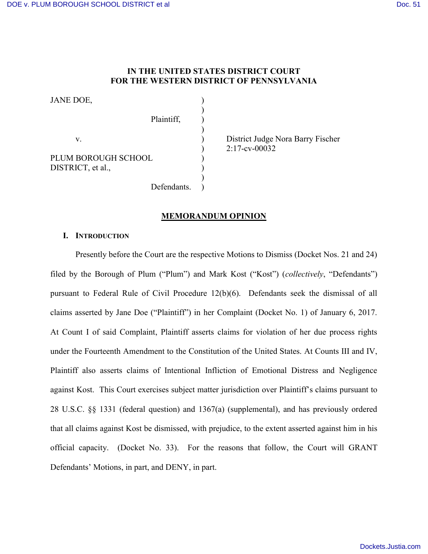## **IN THE UNITED STATES DISTRICT COURT FOR THE WESTERN DISTRICT OF PENNSYLVANIA**

)

)

)

Defendants.

JANE DOE,

Plaintiff, ) v. ) District Judge Nora Barry Fischer PLUM BOROUGH SCHOOL ) DISTRICT, et al.,

) 2:17-cv-00032

## **MEMORANDUM OPINION**

## **I. INTRODUCTION**

Presently before the Court are the respective Motions to Dismiss (Docket Nos. 21 and 24) filed by the Borough of Plum ("Plum") and Mark Kost ("Kost") (*collectively*, "Defendants") pursuant to Federal Rule of Civil Procedure 12(b)(6). Defendants seek the dismissal of all claims asserted by Jane Doe ("Plaintiff") in her Complaint (Docket No. 1) of January 6, 2017. At Count I of said Complaint, Plaintiff asserts claims for violation of her due process rights under the Fourteenth Amendment to the Constitution of the United States. At Counts III and IV, Plaintiff also asserts claims of Intentional Infliction of Emotional Distress and Negligence against Kost. This Court exercises subject matter jurisdiction over Plaintiff's claims pursuant to 28 U.S.C. §§ 1331 (federal question) and 1367(a) (supplemental), and has previously ordered that all claims against Kost be dismissed, with prejudice, to the extent asserted against him in his official capacity. (Docket No. 33). For the reasons that follow, the Court will GRANT Defendants' Motions, in part, and DENY, in part.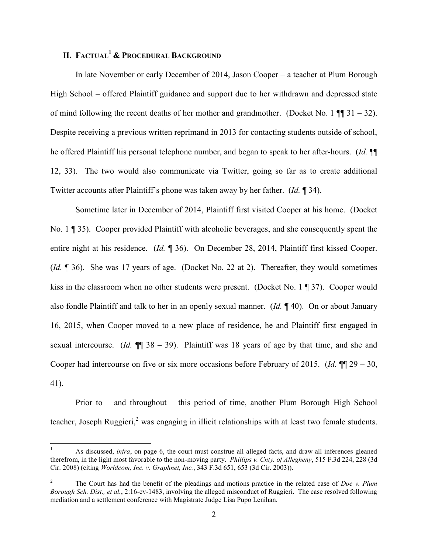# **II. FACTUAL<sup>1</sup> & PROCEDURAL BACKGROUND**

In late November or early December of 2014, Jason Cooper – a teacher at Plum Borough High School – offered Plaintiff guidance and support due to her withdrawn and depressed state of mind following the recent deaths of her mother and grandmother. (Docket No. 1  $\P$   $\P$  31 – 32). Despite receiving a previous written reprimand in 2013 for contacting students outside of school, he offered Plaintiff his personal telephone number, and began to speak to her after-hours. (*Id.* ¶¶ 12, 33). The two would also communicate via Twitter, going so far as to create additional Twitter accounts after Plaintiff's phone was taken away by her father. (*Id.* ¶ 34).

Sometime later in December of 2014, Plaintiff first visited Cooper at his home. (Docket No. 1 ¶ 35). Cooper provided Plaintiff with alcoholic beverages, and she consequently spent the entire night at his residence. (*Id.* ¶ 36). On December 28, 2014, Plaintiff first kissed Cooper. (*Id.* ¶ 36). She was 17 years of age. (Docket No. 22 at 2). Thereafter, they would sometimes kiss in the classroom when no other students were present. (Docket No. 1 ¶ 37). Cooper would also fondle Plaintiff and talk to her in an openly sexual manner. (*Id.* ¶ 40). On or about January 16, 2015, when Cooper moved to a new place of residence, he and Plaintiff first engaged in sexual intercourse. (*Id.* ¶¶ 38 – 39). Plaintiff was 18 years of age by that time, and she and Cooper had intercourse on five or six more occasions before February of 2015. (*Id.* ¶¶ 29 – 30, 41).

Prior to – and throughout – this period of time, another Plum Borough High School teacher, Joseph Ruggieri, $<sup>2</sup>$  was engaging in illicit relationships with at least two female students.</sup>

 $\overline{a}$ 

<sup>1</sup> As discussed, *infra*, on page 6, the court must construe all alleged facts, and draw all inferences gleaned therefrom, in the light most favorable to the non-moving party. *Phillips v. Cnty. of Allegheny*, 515 F.3d 224, 228 (3d Cir. 2008) (citing *Worldcom, Inc. v. Graphnet, Inc.*, 343 F.3d 651, 653 (3d Cir. 2003)).

<sup>2</sup> The Court has had the benefit of the pleadings and motions practice in the related case of *Doe v. Plum Borough Sch. Dist., et al.*, 2:16-cv-1483, involving the alleged misconduct of Ruggieri. The case resolved following mediation and a settlement conference with Magistrate Judge Lisa Pupo Lenihan.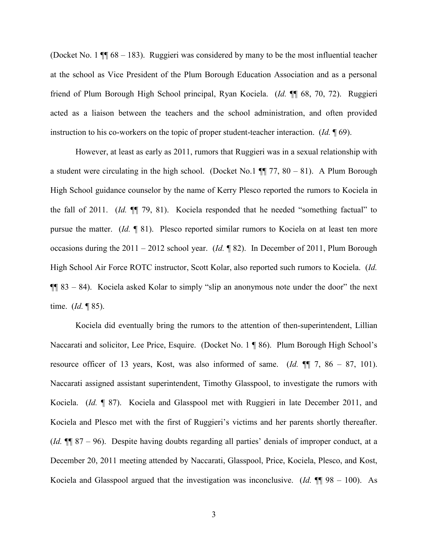(Docket No. 1 ¶¶ 68 – 183). Ruggieri was considered by many to be the most influential teacher at the school as Vice President of the Plum Borough Education Association and as a personal friend of Plum Borough High School principal, Ryan Kociela. (*Id.* ¶¶ 68, 70, 72). Ruggieri acted as a liaison between the teachers and the school administration, and often provided instruction to his co-workers on the topic of proper student-teacher interaction. (*Id.* ¶ 69).

However, at least as early as 2011, rumors that Ruggieri was in a sexual relationship with a student were circulating in the high school. (Docket No.1  $\P$  77, 80 – 81). A Plum Borough High School guidance counselor by the name of Kerry Plesco reported the rumors to Kociela in the fall of 2011. (*Id.* ¶¶ 79, 81). Kociela responded that he needed "something factual" to pursue the matter. (*Id.* ¶ 81). Plesco reported similar rumors to Kociela on at least ten more occasions during the 2011 – 2012 school year. (*Id.* ¶ 82). In December of 2011, Plum Borough High School Air Force ROTC instructor, Scott Kolar, also reported such rumors to Kociela. (*Id.*  $\P\P$  83 – 84). Kociela asked Kolar to simply "slip an anonymous note under the door" the next time. (*Id.* ¶ 85).

Kociela did eventually bring the rumors to the attention of then-superintendent, Lillian Naccarati and solicitor, Lee Price, Esquire. (Docket No. 1 ¶ 86). Plum Borough High School's resource officer of 13 years, Kost, was also informed of same. (*Id.* ¶¶ 7, 86 – 87, 101). Naccarati assigned assistant superintendent, Timothy Glasspool, to investigate the rumors with Kociela. (*Id.* ¶ 87). Kociela and Glasspool met with Ruggieri in late December 2011, and Kociela and Plesco met with the first of Ruggieri's victims and her parents shortly thereafter. (*Id.* ¶¶ 87 – 96). Despite having doubts regarding all parties' denials of improper conduct, at a December 20, 2011 meeting attended by Naccarati, Glasspool, Price, Kociela, Plesco, and Kost, Kociela and Glasspool argued that the investigation was inconclusive. (*Id.* ¶¶ 98 – 100). As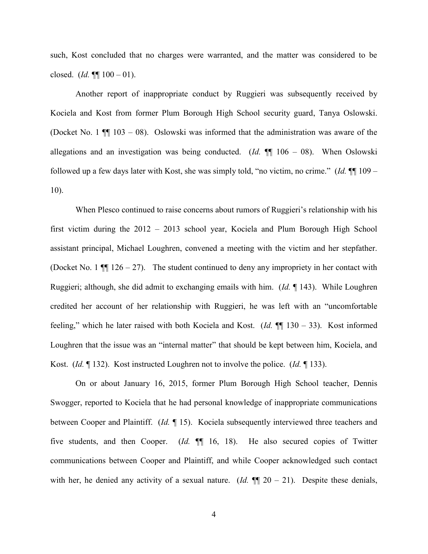such, Kost concluded that no charges were warranted, and the matter was considered to be closed. (*Id.* ¶¶ 100 – 01).

Another report of inappropriate conduct by Ruggieri was subsequently received by Kociela and Kost from former Plum Borough High School security guard, Tanya Oslowski. (Docket No. 1  $\P$  103 – 08). Oslowski was informed that the administration was aware of the allegations and an investigation was being conducted. (*Id.* ¶¶ 106 – 08). When Oslowski followed up a few days later with Kost, she was simply told, "no victim, no crime." (*Id.* ¶¶ 109 – 10).

When Plesco continued to raise concerns about rumors of Ruggieri's relationship with his first victim during the 2012 – 2013 school year, Kociela and Plum Borough High School assistant principal, Michael Loughren, convened a meeting with the victim and her stepfather. (Docket No. 1  $\P$  126 – 27). The student continued to deny any impropriety in her contact with Ruggieri; although, she did admit to exchanging emails with him. (*Id.* ¶ 143). While Loughren credited her account of her relationship with Ruggieri, he was left with an "uncomfortable feeling," which he later raised with both Kociela and Kost. (*Id.* ¶¶ 130 – 33). Kost informed Loughren that the issue was an "internal matter" that should be kept between him, Kociela, and Kost. (*Id.* ¶ 132). Kost instructed Loughren not to involve the police. (*Id.* ¶ 133).

On or about January 16, 2015, former Plum Borough High School teacher, Dennis Swogger, reported to Kociela that he had personal knowledge of inappropriate communications between Cooper and Plaintiff. (*Id.* ¶ 15). Kociela subsequently interviewed three teachers and five students, and then Cooper. (*Id.* ¶¶ 16, 18). He also secured copies of Twitter communications between Cooper and Plaintiff, and while Cooper acknowledged such contact with her, he denied any activity of a sexual nature. (*Id.*  $\P$  $\Box$  20 – 21). Despite these denials,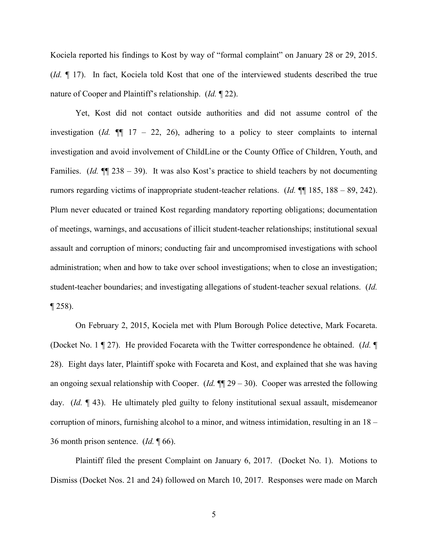Kociela reported his findings to Kost by way of "formal complaint" on January 28 or 29, 2015. (*Id.* ¶ 17). In fact, Kociela told Kost that one of the interviewed students described the true nature of Cooper and Plaintiff's relationship. (*Id.* ¶ 22).

Yet, Kost did not contact outside authorities and did not assume control of the investigation (*Id.*  $\P$  17 – 22, 26), adhering to a policy to steer complaints to internal investigation and avoid involvement of ChildLine or the County Office of Children, Youth, and Families. (*Id.* ¶¶ 238 – 39). It was also Kost's practice to shield teachers by not documenting rumors regarding victims of inappropriate student-teacher relations. (*Id.* ¶¶ 185, 188 – 89, 242). Plum never educated or trained Kost regarding mandatory reporting obligations; documentation of meetings, warnings, and accusations of illicit student-teacher relationships; institutional sexual assault and corruption of minors; conducting fair and uncompromised investigations with school administration; when and how to take over school investigations; when to close an investigation; student-teacher boundaries; and investigating allegations of student-teacher sexual relations. (*Id.* ¶ 258).

On February 2, 2015, Kociela met with Plum Borough Police detective, Mark Focareta. (Docket No. 1 ¶ 27). He provided Focareta with the Twitter correspondence he obtained. (*Id.* ¶ 28). Eight days later, Plaintiff spoke with Focareta and Kost, and explained that she was having an ongoing sexual relationship with Cooper. (*Id.* ¶¶ 29 – 30). Cooper was arrested the following day. (*Id.* ¶ 43). He ultimately pled guilty to felony institutional sexual assault, misdemeanor corruption of minors, furnishing alcohol to a minor, and witness intimidation, resulting in an 18 – 36 month prison sentence. (*Id.* ¶ 66).

Plaintiff filed the present Complaint on January 6, 2017. (Docket No. 1). Motions to Dismiss (Docket Nos. 21 and 24) followed on March 10, 2017. Responses were made on March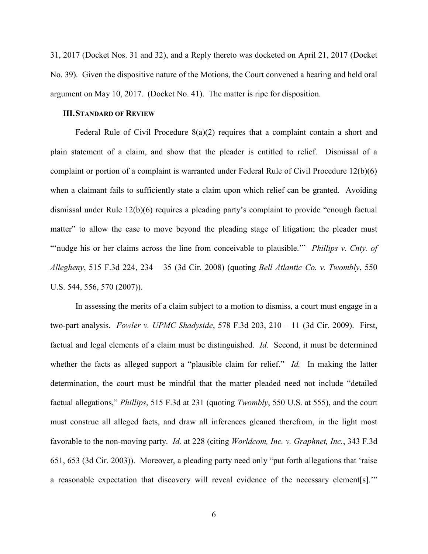31, 2017 (Docket Nos. 31 and 32), and a Reply thereto was docketed on April 21, 2017 (Docket No. 39). Given the dispositive nature of the Motions, the Court convened a hearing and held oral argument on May 10, 2017. (Docket No. 41). The matter is ripe for disposition.

## **III.STANDARD OF REVIEW**

Federal Rule of Civil Procedure 8(a)(2) requires that a complaint contain a short and plain statement of a claim, and show that the pleader is entitled to relief. Dismissal of a complaint or portion of a complaint is warranted under Federal Rule of Civil Procedure 12(b)(6) when a claimant fails to sufficiently state a claim upon which relief can be granted. Avoiding dismissal under Rule 12(b)(6) requires a pleading party's complaint to provide "enough factual matter" to allow the case to move beyond the pleading stage of litigation; the pleader must "'nudge his or her claims across the line from conceivable to plausible.'" *Phillips v. Cnty. of Allegheny*, 515 F.3d 224, 234 – 35 (3d Cir. 2008) (quoting *Bell Atlantic Co. v. Twombly*, 550 U.S. 544, 556, 570 (2007)).

In assessing the merits of a claim subject to a motion to dismiss, a court must engage in a two-part analysis. *Fowler v. UPMC Shadyside*, 578 F.3d 203, 210 – 11 (3d Cir. 2009). First, factual and legal elements of a claim must be distinguished. *Id.* Second, it must be determined whether the facts as alleged support a "plausible claim for relief." *Id.* In making the latter determination, the court must be mindful that the matter pleaded need not include "detailed factual allegations," *Phillips*, 515 F.3d at 231 (quoting *Twombly*, 550 U.S. at 555), and the court must construe all alleged facts, and draw all inferences gleaned therefrom, in the light most favorable to the non-moving party. *Id.* at 228 (citing *Worldcom, Inc. v. Graphnet, Inc.*, 343 F.3d 651, 653 (3d Cir. 2003)). Moreover, a pleading party need only "put forth allegations that 'raise a reasonable expectation that discovery will reveal evidence of the necessary element[s].'"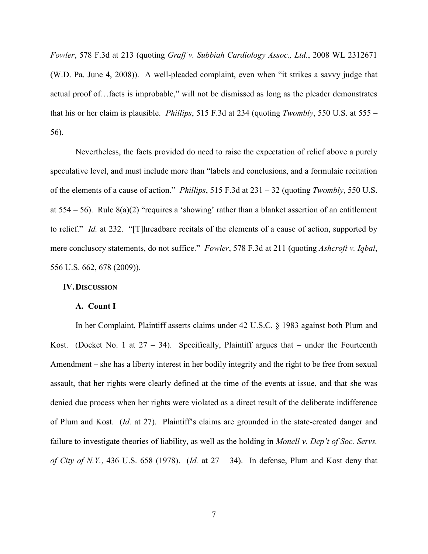*Fowler*, 578 F.3d at 213 (quoting *Graff v. Subbiah Cardiology Assoc., Ltd.*, 2008 WL 2312671 (W.D. Pa. June 4, 2008)). A well-pleaded complaint, even when "it strikes a savvy judge that actual proof of…facts is improbable," will not be dismissed as long as the pleader demonstrates that his or her claim is plausible. *Phillips*, 515 F.3d at 234 (quoting *Twombly*, 550 U.S. at 555 – 56).

Nevertheless, the facts provided do need to raise the expectation of relief above a purely speculative level, and must include more than "labels and conclusions, and a formulaic recitation of the elements of a cause of action." *Phillips*, 515 F.3d at 231 – 32 (quoting *Twombly*, 550 U.S. at  $554 - 56$ ). Rule  $8(a)(2)$  "requires a 'showing' rather than a blanket assertion of an entitlement to relief." *Id.* at 232. "[T]hreadbare recitals of the elements of a cause of action, supported by mere conclusory statements, do not suffice." *Fowler*, 578 F.3d at 211 (quoting *Ashcroft v. Iqbal*, 556 U.S. 662, 678 (2009)).

## **IV.DISCUSSION**

### **A. Count I**

In her Complaint, Plaintiff asserts claims under 42 U.S.C. § 1983 against both Plum and Kost. (Docket No. 1 at  $27 - 34$ ). Specifically, Plaintiff argues that – under the Fourteenth Amendment – she has a liberty interest in her bodily integrity and the right to be free from sexual assault, that her rights were clearly defined at the time of the events at issue, and that she was denied due process when her rights were violated as a direct result of the deliberate indifference of Plum and Kost. (*Id.* at 27). Plaintiff's claims are grounded in the state-created danger and failure to investigate theories of liability, as well as the holding in *Monell v. Dep't of Soc. Servs. of City of N.Y.*, 436 U.S. 658 (1978). (*Id.* at 27 – 34). In defense, Plum and Kost deny that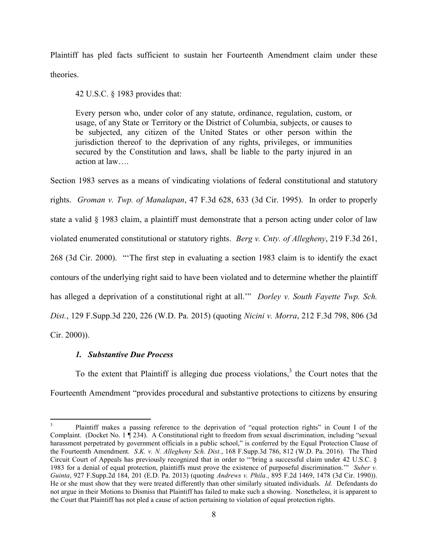Plaintiff has pled facts sufficient to sustain her Fourteenth Amendment claim under these theories.

42 U.S.C. § 1983 provides that:

Every person who, under color of any statute, ordinance, regulation, custom, or usage, of any State or Territory or the District of Columbia, subjects, or causes to be subjected, any citizen of the United States or other person within the jurisdiction thereof to the deprivation of any rights, privileges, or immunities secured by the Constitution and laws, shall be liable to the party injured in an action at law….

Section 1983 serves as a means of vindicating violations of federal constitutional and statutory rights. *Groman v. Twp. of Manalapan*, 47 F.3d 628, 633 (3d Cir. 1995). In order to properly state a valid § 1983 claim, a plaintiff must demonstrate that a person acting under color of law violated enumerated constitutional or statutory rights. *Berg v. Cnty. of Allegheny*, 219 F.3d 261, 268 (3d Cir. 2000). "'The first step in evaluating a section 1983 claim is to identify the exact contours of the underlying right said to have been violated and to determine whether the plaintiff has alleged a deprivation of a constitutional right at all.'" *Dorley v. South Fayette Twp. Sch. Dist.*, 129 F.Supp.3d 220, 226 (W.D. Pa. 2015) (quoting *Nicini v. Morra*, 212 F.3d 798, 806 (3d Cir. 2000)).

## *1. Substantive Due Process*

 $\overline{a}$ 

To the extent that Plaintiff is alleging due process violations, 3 the Court notes that the Fourteenth Amendment "provides procedural and substantive protections to citizens by ensuring

<sup>3</sup> Plaintiff makes a passing reference to the deprivation of "equal protection rights" in Count I of the Complaint. (Docket No. 1 ¶ 234). A Constitutional right to freedom from sexual discrimination, including "sexual harassment perpetrated by government officials in a public school," is conferred by the Equal Protection Clause of the Fourteenth Amendment. *S.K. v. N. Allegheny Sch. Dist.*, 168 F.Supp.3d 786, 812 (W.D. Pa. 2016). The Third Circuit Court of Appeals has previously recognized that in order to "'bring a successful claim under 42 U.S.C. § 1983 for a denial of equal protection, plaintiffs must prove the existence of purposeful discrimination.'" *Suber v. Guinta*, 927 F.Supp.2d 184, 201 (E.D. Pa. 2013) (quoting *Andrews v. Phila.*, 895 F.2d 1469, 1478 (3d Cir. 1990)). He or she must show that they were treated differently than other similarly situated individuals. *Id.* Defendants do not argue in their Motions to Dismiss that Plaintiff has failed to make such a showing. Nonetheless, it is apparent to the Court that Plaintiff has not pled a cause of action pertaining to violation of equal protection rights.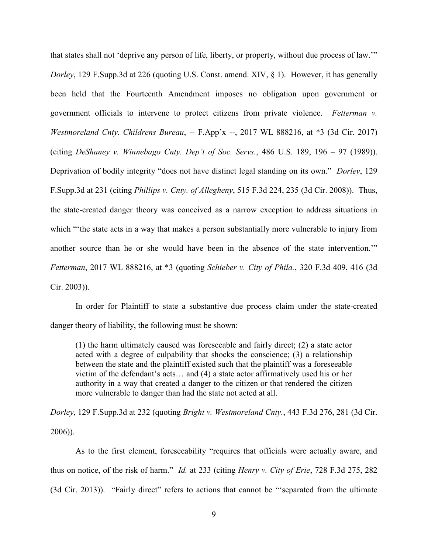that states shall not 'deprive any person of life, liberty, or property, without due process of law.'" *Dorley*, 129 F.Supp.3d at 226 (quoting U.S. Const. amend. XIV, § 1). However, it has generally been held that the Fourteenth Amendment imposes no obligation upon government or government officials to intervene to protect citizens from private violence. *Fetterman v. Westmoreland Cnty. Childrens Bureau*, -- F.App'x --, 2017 WL 888216, at \*3 (3d Cir. 2017) (citing *DeShaney v. Winnebago Cnty. Dep't of Soc. Servs.*, 486 U.S. 189, 196 – 97 (1989)). Deprivation of bodily integrity "does not have distinct legal standing on its own." *Dorley*, 129 F.Supp.3d at 231 (citing *Phillips v. Cnty. of Allegheny*, 515 F.3d 224, 235 (3d Cir. 2008)). Thus, the state-created danger theory was conceived as a narrow exception to address situations in which "the state acts in a way that makes a person substantially more vulnerable to injury from another source than he or she would have been in the absence of the state intervention.'" *Fetterman*, 2017 WL 888216, at \*3 (quoting *Schieber v. City of Phila.*, 320 F.3d 409, 416 (3d Cir. 2003)).

In order for Plaintiff to state a substantive due process claim under the state-created danger theory of liability, the following must be shown:

(1) the harm ultimately caused was foreseeable and fairly direct; (2) a state actor acted with a degree of culpability that shocks the conscience; (3) a relationship between the state and the plaintiff existed such that the plaintiff was a foreseeable victim of the defendant's acts… and (4) a state actor affirmatively used his or her authority in a way that created a danger to the citizen or that rendered the citizen more vulnerable to danger than had the state not acted at all.

*Dorley*, 129 F.Supp.3d at 232 (quoting *Bright v. Westmoreland Cnty.*, 443 F.3d 276, 281 (3d Cir. 2006)).

As to the first element, foreseeability "requires that officials were actually aware, and thus on notice, of the risk of harm." *Id.* at 233 (citing *Henry v. City of Erie*, 728 F.3d 275, 282 (3d Cir. 2013)). "Fairly direct" refers to actions that cannot be "'separated from the ultimate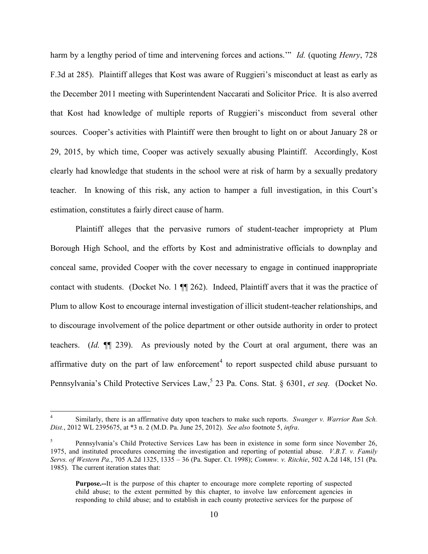harm by a lengthy period of time and intervening forces and actions.'" *Id.* (quoting *Henry*, 728 F.3d at 285). Plaintiff alleges that Kost was aware of Ruggieri's misconduct at least as early as the December 2011 meeting with Superintendent Naccarati and Solicitor Price. It is also averred that Kost had knowledge of multiple reports of Ruggieri's misconduct from several other sources. Cooper's activities with Plaintiff were then brought to light on or about January 28 or 29, 2015, by which time, Cooper was actively sexually abusing Plaintiff. Accordingly, Kost clearly had knowledge that students in the school were at risk of harm by a sexually predatory teacher. In knowing of this risk, any action to hamper a full investigation, in this Court's estimation, constitutes a fairly direct cause of harm.

Plaintiff alleges that the pervasive rumors of student-teacher impropriety at Plum Borough High School, and the efforts by Kost and administrative officials to downplay and conceal same, provided Cooper with the cover necessary to engage in continued inappropriate contact with students. (Docket No. 1 ¶¶ 262). Indeed, Plaintiff avers that it was the practice of Plum to allow Kost to encourage internal investigation of illicit student-teacher relationships, and to discourage involvement of the police department or other outside authority in order to protect teachers. (*Id.* ¶¶ 239). As previously noted by the Court at oral argument, there was an affirmative duty on the part of law enforcement<sup>4</sup> to report suspected child abuse pursuant to Pennsylvania's Child Protective Services Law,<sup>5</sup> 23 Pa. Cons. Stat. § 6301, *et seq.* (Docket No.

 $\overline{a}$ 

<sup>4</sup> Similarly, there is an affirmative duty upon teachers to make such reports. *Swanger v. Warrior Run Sch. Dist.*, 2012 WL 2395675, at \*3 n. 2 (M.D. Pa. June 25, 2012). *See also* footnote 5, *infra*.

<sup>5</sup> Pennsylvania's Child Protective Services Law has been in existence in some form since November 26, 1975, and instituted procedures concerning the investigation and reporting of potential abuse. *V.B.T. v. Family Servs. of Western Pa.*, 705 A.2d 1325, 1335 – 36 (Pa. Super. Ct. 1998); *Commw. v. Ritchie*, 502 A.2d 148, 151 (Pa. 1985). The current iteration states that:

**Purpose.--**It is the purpose of this chapter to encourage more complete reporting of suspected child abuse; to the extent permitted by this chapter, to involve law enforcement agencies in responding to child abuse; and to establish in each county protective services for the purpose of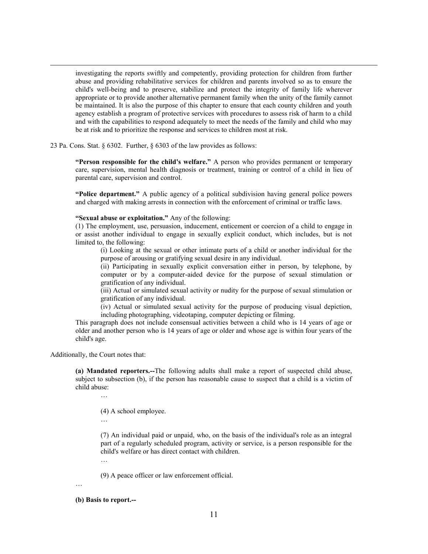investigating the reports swiftly and competently, providing protection for children from further abuse and providing rehabilitative services for children and parents involved so as to ensure the child's well-being and to preserve, stabilize and protect the integrity of family life wherever appropriate or to provide another alternative permanent family when the unity of the family cannot be maintained. It is also the purpose of this chapter to ensure that each county children and youth agency establish a program of protective services with procedures to assess risk of harm to a child and with the capabilities to respond adequately to meet the needs of the family and child who may be at risk and to prioritize the response and services to children most at risk.

23 Pa. Cons. Stat. § 6302. Further, § 6303 of the law provides as follows:

**"Person responsible for the child's welfare."** A person who provides permanent or temporary care, supervision, mental health diagnosis or treatment, training or control of a child in lieu of parental care, supervision and control.

**"Police department."** A public agency of a political subdivision having general police powers and charged with making arrests in connection with the enforcement of criminal or traffic laws.

#### **"Sexual abuse or exploitation."** Any of the following:

(1) The employment, use, persuasion, inducement, enticement or coercion of a child to engage in or assist another individual to engage in sexually explicit conduct, which includes, but is not limited to, the following:

(i) Looking at the sexual or other intimate parts of a child or another individual for the purpose of arousing or gratifying sexual desire in any individual.

(ii) Participating in sexually explicit conversation either in person, by telephone, by computer or by a computer-aided device for the purpose of sexual stimulation or gratification of any individual.

(iii) Actual or simulated sexual activity or nudity for the purpose of sexual stimulation or gratification of any individual.

(iv) Actual or simulated sexual activity for the purpose of producing visual depiction, including photographing, videotaping, computer depicting or filming.

This paragraph does not include consensual activities between a child who is 14 years of age or older and another person who is 14 years of age or older and whose age is within four years of the child's age.

Additionally, the Court notes that:

 $\overline{a}$ 

**(a) Mandated reporters.--**The following adults shall make a report of suspected child abuse, subject to subsection (b), if the person has reasonable cause to suspect that a child is a victim of child abuse:

- (4) A school employee.
- …

(7) An individual paid or unpaid, who, on the basis of the individual's role as an integral part of a regularly scheduled program, activity or service, is a person responsible for the child's welfare or has direct contact with children.

(9) A peace officer or law enforcement official.

…

### **(b) Basis to report.--**

…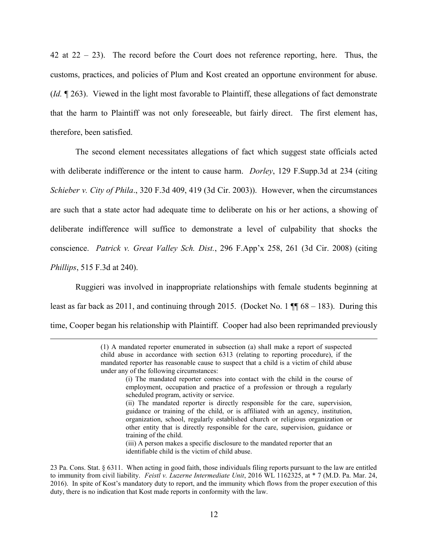42 at  $22 - 23$ ). The record before the Court does not reference reporting, here. Thus, the customs, practices, and policies of Plum and Kost created an opportune environment for abuse. (*Id.* ¶ 263). Viewed in the light most favorable to Plaintiff, these allegations of fact demonstrate that the harm to Plaintiff was not only foreseeable, but fairly direct. The first element has, therefore, been satisfied.

The second element necessitates allegations of fact which suggest state officials acted with deliberate indifference or the intent to cause harm. *Dorley*, 129 F.Supp.3d at 234 (citing *Schieber v. City of Phila*., 320 F.3d 409, 419 (3d Cir. 2003)). However, when the circumstances are such that a state actor had adequate time to deliberate on his or her actions, a showing of deliberate indifference will suffice to demonstrate a level of culpability that shocks the conscience. *Patrick v. Great Valley Sch. Dist.*, 296 F.App'x 258, 261 (3d Cir. 2008) (citing *Phillips*, 515 F.3d at 240).

Ruggieri was involved in inappropriate relationships with female students beginning at least as far back as 2011, and continuing through 2015. (Docket No. 1  $\P$  68 – 183). During this time, Cooper began his relationship with Plaintiff. Cooper had also been reprimanded previously

 $\overline{a}$ 

(iii) A person makes a specific disclosure to the mandated reporter that an identifiable child is the victim of child abuse.

<sup>(1)</sup> A mandated reporter enumerated in subsection (a) shall make a report of suspected child abuse in accordance with section 6313 (relating to reporting procedure), if the mandated reporter has reasonable cause to suspect that a child is a victim of child abuse under any of the following circumstances:

<sup>(</sup>i) The mandated reporter comes into contact with the child in the course of employment, occupation and practice of a profession or through a regularly scheduled program, activity or service.

<sup>(</sup>ii) The mandated reporter is directly responsible for the care, supervision, guidance or training of the child, or is affiliated with an agency, institution, organization, school, regularly established church or religious organization or other entity that is directly responsible for the care, supervision, guidance or training of the child.

<sup>23</sup> Pa. Cons. Stat. § 6311. When acting in good faith, those individuals filing reports pursuant to the law are entitled to immunity from civil liability. *Feistl v. Luzerne Intermediate Unit*, 2016 WL 1162325, at \* 7 (M.D. Pa. Mar. 24, 2016). In spite of Kost's mandatory duty to report, and the immunity which flows from the proper execution of this duty, there is no indication that Kost made reports in conformity with the law.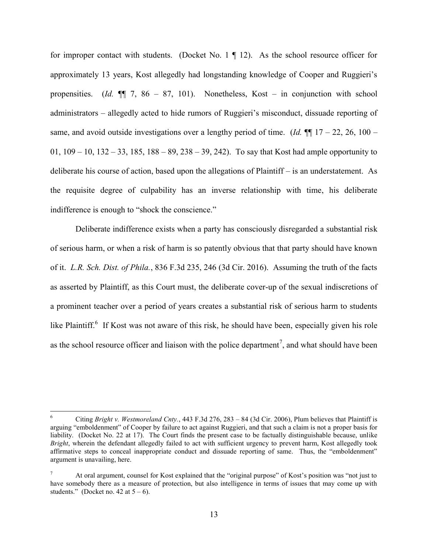for improper contact with students. (Docket No.  $1 \nparallel 12$ ). As the school resource officer for approximately 13 years, Kost allegedly had longstanding knowledge of Cooper and Ruggieri's propensities. (*Id.* ¶¶ 7, 86 – 87, 101). Nonetheless, Kost – in conjunction with school administrators – allegedly acted to hide rumors of Ruggieri's misconduct, dissuade reporting of same, and avoid outside investigations over a lengthy period of time. (*Id.*  $\P$  17 – 22, 26, 100 – 01,  $109 - 10$ ,  $132 - 33$ ,  $185$ ,  $188 - 89$ ,  $238 - 39$ ,  $242$ ). To say that Kost had ample opportunity to deliberate his course of action, based upon the allegations of Plaintiff – is an understatement. As the requisite degree of culpability has an inverse relationship with time, his deliberate indifference is enough to "shock the conscience."

Deliberate indifference exists when a party has consciously disregarded a substantial risk of serious harm, or when a risk of harm is so patently obvious that that party should have known of it. *L.R. Sch. Dist. of Phila.*, 836 F.3d 235, 246 (3d Cir. 2016). Assuming the truth of the facts as asserted by Plaintiff, as this Court must, the deliberate cover-up of the sexual indiscretions of a prominent teacher over a period of years creates a substantial risk of serious harm to students like Plaintiff.<sup>6</sup> If Kost was not aware of this risk, he should have been, especially given his role as the school resource officer and liaison with the police department<sup>7</sup>, and what should have been

 $\overline{a}$ 

<sup>6</sup> Citing *Bright v. Westmoreland Cnty.*, 443 F.3d 276, 283 – 84 (3d Cir. 2006), Plum believes that Plaintiff is arguing "emboldenment" of Cooper by failure to act against Ruggieri, and that such a claim is not a proper basis for liability. (Docket No. 22 at 17). The Court finds the present case to be factually distinguishable because, unlike *Bright*, wherein the defendant allegedly failed to act with sufficient urgency to prevent harm, Kost allegedly took affirmative steps to conceal inappropriate conduct and dissuade reporting of same. Thus, the "emboldenment" argument is unavailing, here.

<sup>7</sup> At oral argument, counsel for Kost explained that the "original purpose" of Kost's position was "not just to have somebody there as a measure of protection, but also intelligence in terms of issues that may come up with students." (Docket no. 42 at  $5 - 6$ ).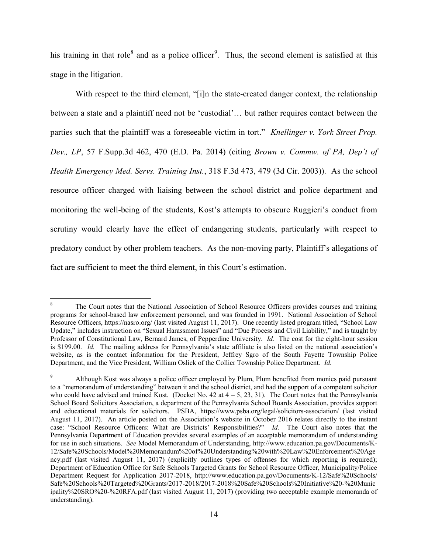his training in that role<sup>8</sup> and as a police officer<sup>9</sup>. Thus, the second element is satisfied at this stage in the litigation.

With respect to the third element, "[i]n the state-created danger context, the relationship between a state and a plaintiff need not be 'custodial'… but rather requires contact between the parties such that the plaintiff was a foreseeable victim in tort." *Knellinger v. York Street Prop. Dev., LP*, 57 F.Supp.3d 462, 470 (E.D. Pa. 2014) (citing *Brown v. Commw. of PA, Dep't of Health Emergency Med. Servs. Training Inst.*, 318 F.3d 473, 479 (3d Cir. 2003)). As the school resource officer charged with liaising between the school district and police department and monitoring the well-being of the students, Kost's attempts to obscure Ruggieri's conduct from scrutiny would clearly have the effect of endangering students, particularly with respect to predatory conduct by other problem teachers. As the non-moving party, Plaintiff's allegations of fact are sufficient to meet the third element, in this Court's estimation.

 $\overline{a}$ 

<sup>8</sup> The Court notes that the National Association of School Resource Officers provides courses and training programs for school-based law enforcement personnel, and was founded in 1991. National Association of School Resource Officers, https://nasro.org/ (last visited August 11, 2017). One recently listed program titled, "School Law Update," includes instruction on "Sexual Harassment Issues" and "Due Process and Civil Liability," and is taught by Professor of Constitutional Law, Bernard James, of Pepperdine University. *Id.* The cost for the eight-hour session is \$199.00. *Id.* The mailing address for Pennsylvania's state affiliate is also listed on the national association's website, as is the contact information for the President, Jeffrey Sgro of the South Fayette Township Police Department, and the Vice President, William Oslick of the Collier Township Police Department. *Id.*

<sup>9</sup> Although Kost was always a police officer employed by Plum, Plum benefited from monies paid pursuant to a "memorandum of understanding" between it and the school district, and had the support of a competent solicitor who could have advised and trained Kost. (Docket No. 42 at  $4 - 5$ , 23, 31). The Court notes that the Pennsylvania School Board Solicitors Association, a department of the Pennsylvania School Boards Association, provides support and educational materials for solicitors. PSBA, https://www.psba.org/legal/solicitors-association/ (last visited August 11, 2017). An article posted on the Association's website in October 2016 relates directly to the instant case: "School Resource Officers: What are Districts' Responsibilities?" *Id.* The Court also notes that the Pennsylvania Department of Education provides several examples of an acceptable memorandum of understanding for use in such situations. *See* Model Memorandum of Understanding, http://www.education.pa.gov/Documents/K-12/Safe%20Schools/Model%20Memorandum%20of%20Understanding%20with%20Law%20Enforcement%20Age ncy.pdf (last visited August 11, 2017) (explicitly outlines types of offenses for which reporting is required); Department of Education Office for Safe Schools Targeted Grants for School Resource Officer, Municipality/Police Department Request for Application 2017-2018, http://www.education.pa.gov/Documents/K-12/Safe%20Schools/ Safe%20Schools%20Targeted%20Grants/2017-2018/2017-2018%20Safe%20Schools%20Initiative%20-%20Munic ipality%20SRO%20-%20RFA.pdf (last visited August 11, 2017) (providing two acceptable example memoranda of understanding).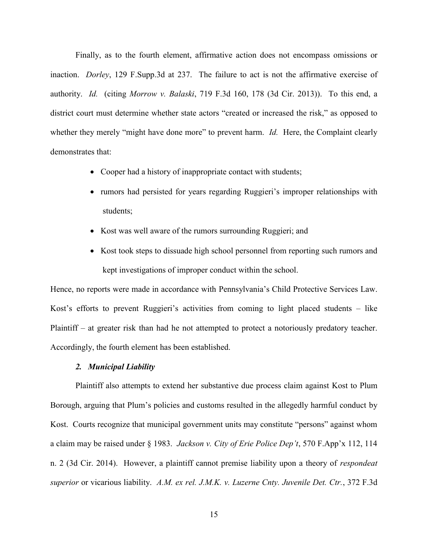Finally, as to the fourth element, affirmative action does not encompass omissions or inaction. *Dorley*, 129 F.Supp.3d at 237. The failure to act is not the affirmative exercise of authority. *Id.* (citing *Morrow v. Balaski*, 719 F.3d 160, 178 (3d Cir. 2013)). To this end, a district court must determine whether state actors "created or increased the risk," as opposed to whether they merely "might have done more" to prevent harm. *Id.* Here, the Complaint clearly demonstrates that:

- Cooper had a history of inappropriate contact with students;
- rumors had persisted for years regarding Ruggieri's improper relationships with students;
- Kost was well aware of the rumors surrounding Ruggieri; and
- Kost took steps to dissuade high school personnel from reporting such rumors and kept investigations of improper conduct within the school.

Hence, no reports were made in accordance with Pennsylvania's Child Protective Services Law. Kost's efforts to prevent Ruggieri's activities from coming to light placed students – like Plaintiff – at greater risk than had he not attempted to protect a notoriously predatory teacher. Accordingly, the fourth element has been established.

## *2. Municipal Liability*

Plaintiff also attempts to extend her substantive due process claim against Kost to Plum Borough, arguing that Plum's policies and customs resulted in the allegedly harmful conduct by Kost. Courts recognize that municipal government units may constitute "persons" against whom a claim may be raised under § 1983. *Jackson v. City of Erie Police Dep't*, 570 F.App'x 112, 114 n. 2 (3d Cir. 2014). However, a plaintiff cannot premise liability upon a theory of *respondeat superior* or vicarious liability. *A.M. ex rel. J.M.K. v. Luzerne Cnty. Juvenile Det. Ctr.*, 372 F.3d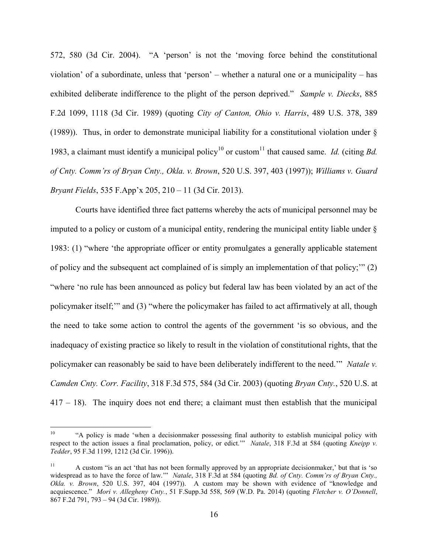572, 580 (3d Cir. 2004). "A 'person' is not the 'moving force behind the constitutional violation' of a subordinate, unless that 'person' – whether a natural one or a municipality – has exhibited deliberate indifference to the plight of the person deprived." *Sample v. Diecks*, 885 F.2d 1099, 1118 (3d Cir. 1989) (quoting *City of Canton, Ohio v. Harris*, 489 U.S. 378, 389 (1989)). Thus, in order to demonstrate municipal liability for a constitutional violation under § 1983, a claimant must identify a municipal policy<sup>10</sup> or custom<sup>11</sup> that caused same. *Id.* (citing *Bd. of Cnty. Comm'rs of Bryan Cnty., Okla. v. Brown*, 520 U.S. 397, 403 (1997)); *Williams v. Guard Bryant Fields*, 535 F.App'x 205, 210 – 11 (3d Cir. 2013).

Courts have identified three fact patterns whereby the acts of municipal personnel may be imputed to a policy or custom of a municipal entity, rendering the municipal entity liable under § 1983: (1) "where 'the appropriate officer or entity promulgates a generally applicable statement of policy and the subsequent act complained of is simply an implementation of that policy;'" (2) "where 'no rule has been announced as policy but federal law has been violated by an act of the policymaker itself;'" and (3) "where the policymaker has failed to act affirmatively at all, though the need to take some action to control the agents of the government 'is so obvious, and the inadequacy of existing practice so likely to result in the violation of constitutional rights, that the policymaker can reasonably be said to have been deliberately indifferent to the need.'" *Natale v. Camden Cnty. Corr. Facility*, 318 F.3d 575, 584 (3d Cir. 2003) (quoting *Bryan Cnty.*, 520 U.S. at 417 – 18). The inquiry does not end there; a claimant must then establish that the municipal

<sup>10</sup> "A policy is made 'when a decisionmaker possessing final authority to establish municipal policy with respect to the action issues a final proclamation, policy, or edict.'" *Natale*, 318 F.3d at 584 (quoting *Kneipp v. Tedder*, 95 F.3d 1199, 1212 (3d Cir. 1996)).

<sup>&</sup>lt;sup>11</sup> A custom "is an act 'that has not been formally approved by an appropriate decisionmaker,' but that is 'so widespread as to have the force of law.'" *Natale*, 318 F.3d at 584 (quoting *Bd. of Cnty. Comm'rs of Bryan Cnty., Okla. v. Brown*, 520 U.S. 397, 404 (1997)). A custom may be shown with evidence of "knowledge and acquiescence." *Mori v. Allegheny Cnty.*, 51 F.Supp.3d 558, 569 (W.D. Pa. 2014) (quoting *Fletcher v. O'Donnell*, 867 F.2d 791, 793 – 94 (3d Cir. 1989)).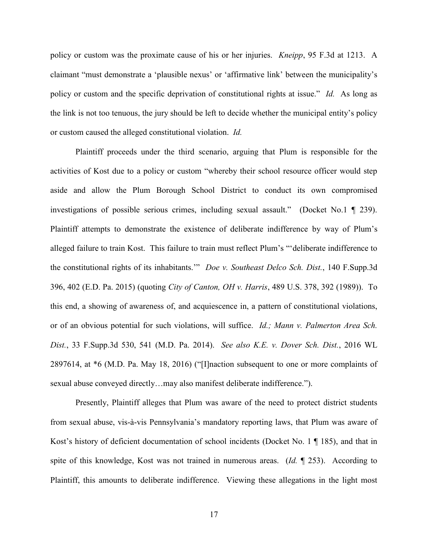policy or custom was the proximate cause of his or her injuries. *Kneipp*, 95 F.3d at 1213. A claimant "must demonstrate a 'plausible nexus' or 'affirmative link' between the municipality's policy or custom and the specific deprivation of constitutional rights at issue." *Id.* As long as the link is not too tenuous, the jury should be left to decide whether the municipal entity's policy or custom caused the alleged constitutional violation. *Id.*

Plaintiff proceeds under the third scenario, arguing that Plum is responsible for the activities of Kost due to a policy or custom "whereby their school resource officer would step aside and allow the Plum Borough School District to conduct its own compromised investigations of possible serious crimes, including sexual assault." (Docket No.1 ¶ 239). Plaintiff attempts to demonstrate the existence of deliberate indifference by way of Plum's alleged failure to train Kost. This failure to train must reflect Plum's "'deliberate indifference to the constitutional rights of its inhabitants.'" *Doe v. Southeast Delco Sch. Dist.*, 140 F.Supp.3d 396, 402 (E.D. Pa. 2015) (quoting *City of Canton, OH v. Harris*, 489 U.S. 378, 392 (1989)). To this end, a showing of awareness of, and acquiescence in, a pattern of constitutional violations, or of an obvious potential for such violations, will suffice. *Id.; Mann v. Palmerton Area Sch. Dist.*, 33 F.Supp.3d 530, 541 (M.D. Pa. 2014). *See also K.E. v. Dover Sch. Dist.*, 2016 WL 2897614, at \*6 (M.D. Pa. May 18, 2016) ("[I]naction subsequent to one or more complaints of sexual abuse conveyed directly…may also manifest deliberate indifference.").

Presently, Plaintiff alleges that Plum was aware of the need to protect district students from sexual abuse, vis-à-vis Pennsylvania's mandatory reporting laws, that Plum was aware of Kost's history of deficient documentation of school incidents (Docket No. 1 ¶ 185), and that in spite of this knowledge, Kost was not trained in numerous areas. (*Id.* ¶ 253). According to Plaintiff, this amounts to deliberate indifference. Viewing these allegations in the light most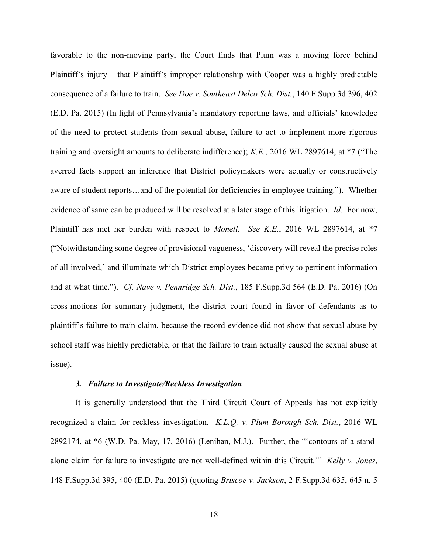favorable to the non-moving party, the Court finds that Plum was a moving force behind Plaintiff's injury – that Plaintiff's improper relationship with Cooper was a highly predictable consequence of a failure to train. *See Doe v. Southeast Delco Sch. Dist.*, 140 F.Supp.3d 396, 402 (E.D. Pa. 2015) (In light of Pennsylvania's mandatory reporting laws, and officials' knowledge of the need to protect students from sexual abuse, failure to act to implement more rigorous training and oversight amounts to deliberate indifference); *K.E.*, 2016 WL 2897614, at \*7 ("The averred facts support an inference that District policymakers were actually or constructively aware of student reports…and of the potential for deficiencies in employee training."). Whether evidence of same can be produced will be resolved at a later stage of this litigation. *Id.* For now, Plaintiff has met her burden with respect to *Monell*. *See K.E.*, 2016 WL 2897614, at \*7 ("Notwithstanding some degree of provisional vagueness, 'discovery will reveal the precise roles of all involved,' and illuminate which District employees became privy to pertinent information and at what time."). *Cf. Nave v. Pennridge Sch. Dist.*, 185 F.Supp.3d 564 (E.D. Pa. 2016) (On cross-motions for summary judgment, the district court found in favor of defendants as to plaintiff's failure to train claim, because the record evidence did not show that sexual abuse by school staff was highly predictable, or that the failure to train actually caused the sexual abuse at issue).

## *3. Failure to Investigate/Reckless Investigation*

It is generally understood that the Third Circuit Court of Appeals has not explicitly recognized a claim for reckless investigation. *K.L.Q. v. Plum Borough Sch. Dist.*, 2016 WL 2892174, at \*6 (W.D. Pa. May, 17, 2016) (Lenihan, M.J.). Further, the "'contours of a standalone claim for failure to investigate are not well-defined within this Circuit.'" *Kelly v. Jones*, 148 F.Supp.3d 395, 400 (E.D. Pa. 2015) (quoting *Briscoe v. Jackson*, 2 F.Supp.3d 635, 645 n. 5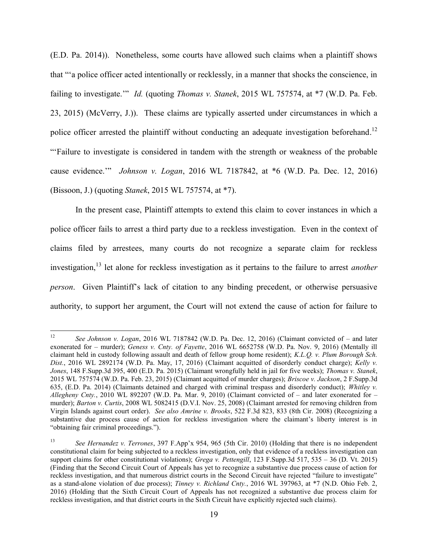(E.D. Pa. 2014)). Nonetheless, some courts have allowed such claims when a plaintiff shows that "'a police officer acted intentionally or recklessly, in a manner that shocks the conscience, in failing to investigate.'" *Id.* (quoting *Thomas v. Stanek*, 2015 WL 757574, at \*7 (W.D. Pa. Feb. 23, 2015) (McVerry, J.)). These claims are typically asserted under circumstances in which a police officer arrested the plaintiff without conducting an adequate investigation beforehand.<sup>12</sup> "'Failure to investigate is considered in tandem with the strength or weakness of the probable cause evidence.'" *Johnson v. Logan*, 2016 WL 7187842, at \*6 (W.D. Pa. Dec. 12, 2016) (Bissoon, J.) (quoting *Stanek*, 2015 WL 757574, at \*7).

In the present case, Plaintiff attempts to extend this claim to cover instances in which a police officer fails to arrest a third party due to a reckless investigation. Even in the context of claims filed by arrestees, many courts do not recognize a separate claim for reckless investigation, <sup>13</sup> let alone for reckless investigation as it pertains to the failure to arrest *another person*. Given Plaintiff's lack of citation to any binding precedent, or otherwise persuasive authority, to support her argument, the Court will not extend the cause of action for failure to

 $12$ <sup>12</sup> *See Johnson v. Logan*, 2016 WL 7187842 (W.D. Pa. Dec. 12, 2016) (Claimant convicted of – and later exonerated for – murder); *Geness v. Cnty. of Fayette*, 2016 WL 6652758 (W.D. Pa. Nov. 9, 2016) (Mentally ill claimant held in custody following assault and death of fellow group home resident); *K.L.Q. v. Plum Borough Sch. Dist.*, 2016 WL 2892174 (W.D. Pa. May, 17, 2016) (Claimant acquitted of disorderly conduct charge); *Kelly v. Jones*, 148 F.Supp.3d 395, 400 (E.D. Pa. 2015) (Claimant wrongfully held in jail for five weeks); *Thomas v. Stanek*, 2015 WL 757574 (W.D. Pa. Feb. 23, 2015) (Claimant acquitted of murder charges); *Briscoe v. Jackson*, 2 F.Supp.3d 635, (E.D. Pa. 2014) (Claimants detained and charged with criminal trespass and disorderly conduct); *Whitley v. Allegheny Cnty.*, 2010 WL 892207 (W.D. Pa. Mar. 9, 2010) (Claimant convicted of – and later exonerated for – murder); *Barton v. Curtis*, 2008 WL 5082415 (D.V.I. Nov. 25, 2008) (Claimant arrested for removing children from Virgin Islands against court order). *See also Amrine v. Brooks*, 522 F.3d 823, 833 (8th Cir. 2008) (Recognizing a substantive due process cause of action for reckless investigation where the claimant's liberty interest is in "obtaining fair criminal proceedings.").

<sup>13</sup> *See Hernandez v. Terrones*, 397 F.App'x 954, 965 (5th Cir. 2010) (Holding that there is no independent constitutional claim for being subjected to a reckless investigation, only that evidence of a reckless investigation can support claims for other constitutional violations); *Grega v. Pettengill*, 123 F.Supp.3d 517, 535 – 36 (D. Vt. 2015) (Finding that the Second Circuit Court of Appeals has yet to recognize a substantive due process cause of action for reckless investigation, and that numerous district courts in the Second Circuit have rejected "failure to investigate" as a stand-alone violation of due process); *Tinney v. Richland Cnty.*, 2016 WL 397963, at \*7 (N.D. Ohio Feb. 2, 2016) (Holding that the Sixth Circuit Court of Appeals has not recognized a substantive due process claim for reckless investigation, and that district courts in the Sixth Circuit have explicitly rejected such claims).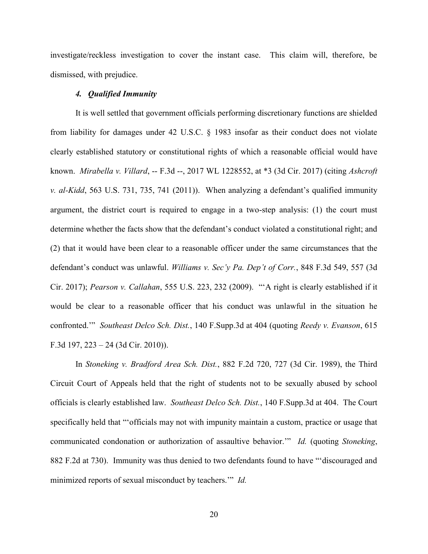investigate/reckless investigation to cover the instant case. This claim will, therefore, be dismissed, with prejudice.

## *4. Qualified Immunity*

It is well settled that government officials performing discretionary functions are shielded from liability for damages under 42 U.S.C. § 1983 insofar as their conduct does not violate clearly established statutory or constitutional rights of which a reasonable official would have known. *Mirabella v. Villard*, -- F.3d --, 2017 WL 1228552, at \*3 (3d Cir. 2017) (citing *Ashcroft v. al-Kidd*, 563 U.S. 731, 735, 741 (2011)). When analyzing a defendant's qualified immunity argument, the district court is required to engage in a two-step analysis: (1) the court must determine whether the facts show that the defendant's conduct violated a constitutional right; and (2) that it would have been clear to a reasonable officer under the same circumstances that the defendant's conduct was unlawful. *Williams v. Sec'y Pa. Dep't of Corr.*, 848 F.3d 549, 557 (3d Cir. 2017); *Pearson v. Callahan*, 555 U.S. 223, 232 (2009). "'A right is clearly established if it would be clear to a reasonable officer that his conduct was unlawful in the situation he confronted.'" *Southeast Delco Sch. Dist.*, 140 F.Supp.3d at 404 (quoting *Reedy v. Evanson*, 615 F.3d 197, 223 – 24 (3d Cir. 2010)).

In *Stoneking v. Bradford Area Sch. Dist.*, 882 F.2d 720, 727 (3d Cir. 1989), the Third Circuit Court of Appeals held that the right of students not to be sexually abused by school officials is clearly established law. *Southeast Delco Sch. Dist.*, 140 F.Supp.3d at 404. The Court specifically held that "'officials may not with impunity maintain a custom, practice or usage that communicated condonation or authorization of assaultive behavior.'" *Id.* (quoting *Stoneking*, 882 F.2d at 730). Immunity was thus denied to two defendants found to have "'discouraged and minimized reports of sexual misconduct by teachers.'" *Id.*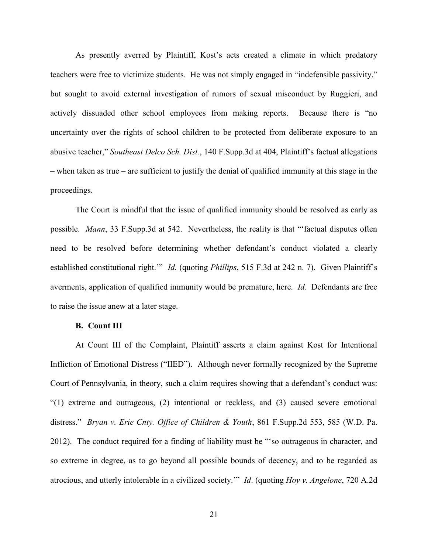As presently averred by Plaintiff, Kost's acts created a climate in which predatory teachers were free to victimize students. He was not simply engaged in "indefensible passivity," but sought to avoid external investigation of rumors of sexual misconduct by Ruggieri, and actively dissuaded other school employees from making reports. Because there is "no uncertainty over the rights of school children to be protected from deliberate exposure to an abusive teacher," *Southeast Delco Sch. Dist.*, 140 F.Supp.3d at 404, Plaintiff's factual allegations – when taken as true – are sufficient to justify the denial of qualified immunity at this stage in the proceedings.

The Court is mindful that the issue of qualified immunity should be resolved as early as possible. *Mann*, 33 F.Supp.3d at 542. Nevertheless, the reality is that "'factual disputes often need to be resolved before determining whether defendant's conduct violated a clearly established constitutional right.'" *Id.* (quoting *Phillips*, 515 F.3d at 242 n. 7). Given Plaintiff's averments, application of qualified immunity would be premature, here. *Id*. Defendants are free to raise the issue anew at a later stage.

### **B. Count III**

At Count III of the Complaint, Plaintiff asserts a claim against Kost for Intentional Infliction of Emotional Distress ("IIED"). Although never formally recognized by the Supreme Court of Pennsylvania, in theory, such a claim requires showing that a defendant's conduct was: "(1) extreme and outrageous, (2) intentional or reckless, and (3) caused severe emotional distress." *Bryan v. Erie Cnty. Office of Children & Youth*, 861 F.Supp.2d 553, 585 (W.D. Pa. 2012). The conduct required for a finding of liability must be "'so outrageous in character, and so extreme in degree, as to go beyond all possible bounds of decency, and to be regarded as atrocious, and utterly intolerable in a civilized society.'" *Id*. (quoting *Hoy v. Angelone*, 720 A.2d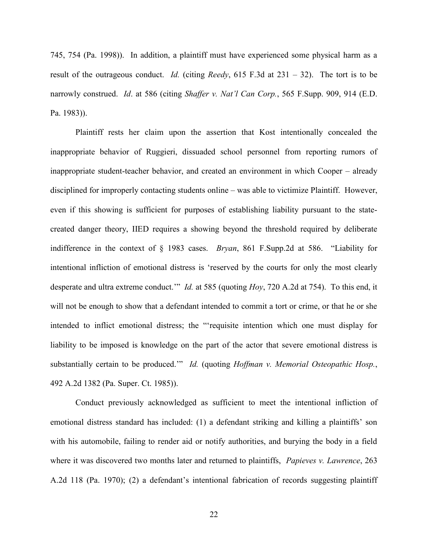745, 754 (Pa. 1998)). In addition, a plaintiff must have experienced some physical harm as a result of the outrageous conduct. *Id.* (citing *Reedy*, 615 F.3d at 231 – 32). The tort is to be narrowly construed. *Id*. at 586 (citing *Shaffer v. Nat'l Can Corp.*, 565 F.Supp. 909, 914 (E.D. Pa. 1983)).

Plaintiff rests her claim upon the assertion that Kost intentionally concealed the inappropriate behavior of Ruggieri, dissuaded school personnel from reporting rumors of inappropriate student-teacher behavior, and created an environment in which Cooper – already disciplined for improperly contacting students online – was able to victimize Plaintiff. However, even if this showing is sufficient for purposes of establishing liability pursuant to the statecreated danger theory, IIED requires a showing beyond the threshold required by deliberate indifference in the context of § 1983 cases. *Bryan*, 861 F.Supp.2d at 586. "Liability for intentional infliction of emotional distress is 'reserved by the courts for only the most clearly desperate and ultra extreme conduct.'" *Id.* at 585 (quoting *Hoy*, 720 A.2d at 754). To this end, it will not be enough to show that a defendant intended to commit a tort or crime, or that he or she intended to inflict emotional distress; the "'requisite intention which one must display for liability to be imposed is knowledge on the part of the actor that severe emotional distress is substantially certain to be produced.'" *Id.* (quoting *Hoffman v. Memorial Osteopathic Hosp.*, 492 A.2d 1382 (Pa. Super. Ct. 1985)).

Conduct previously acknowledged as sufficient to meet the intentional infliction of emotional distress standard has included: (1) a defendant striking and killing a plaintiffs' son with his automobile, failing to render aid or notify authorities, and burying the body in a field where it was discovered two months later and returned to plaintiffs, *Papieves v. Lawrence*, 263 A.2d 118 (Pa. 1970); (2) a defendant's intentional fabrication of records suggesting plaintiff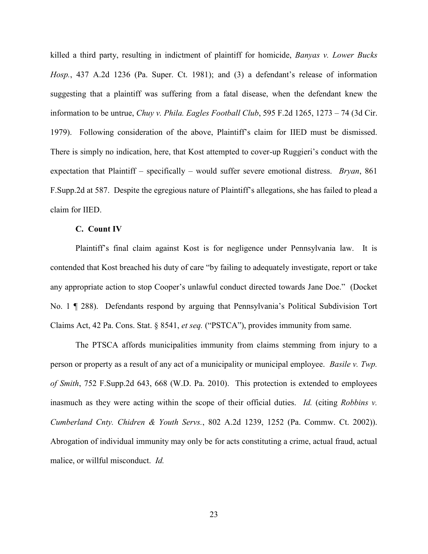killed a third party, resulting in indictment of plaintiff for homicide, *Banyas v. Lower Bucks Hosp.*, 437 A.2d 1236 (Pa. Super. Ct. 1981); and (3) a defendant's release of information suggesting that a plaintiff was suffering from a fatal disease, when the defendant knew the information to be untrue, *Chuy v. Phila. Eagles Football Club*, 595 F.2d 1265, 1273 – 74 (3d Cir. 1979). Following consideration of the above, Plaintiff's claim for IIED must be dismissed. There is simply no indication, here, that Kost attempted to cover-up Ruggieri's conduct with the expectation that Plaintiff – specifically – would suffer severe emotional distress. *Bryan*, 861 F.Supp.2d at 587. Despite the egregious nature of Plaintiff's allegations, she has failed to plead a claim for IIED.

### **C. Count IV**

Plaintiff's final claim against Kost is for negligence under Pennsylvania law. It is contended that Kost breached his duty of care "by failing to adequately investigate, report or take any appropriate action to stop Cooper's unlawful conduct directed towards Jane Doe." (Docket No. 1 ¶ 288). Defendants respond by arguing that Pennsylvania's Political Subdivision Tort Claims Act, 42 Pa. Cons. Stat. § 8541, *et seq.* ("PSTCA"), provides immunity from same.

The PTSCA affords municipalities immunity from claims stemming from injury to a person or property as a result of any act of a municipality or municipal employee. *Basile v. Twp. of Smith*, 752 F.Supp.2d 643, 668 (W.D. Pa. 2010). This protection is extended to employees inasmuch as they were acting within the scope of their official duties. *Id.* (citing *Robbins v. Cumberland Cnty. Chidren & Youth Servs.*, 802 A.2d 1239, 1252 (Pa. Commw. Ct. 2002)). Abrogation of individual immunity may only be for acts constituting a crime, actual fraud, actual malice, or willful misconduct. *Id.*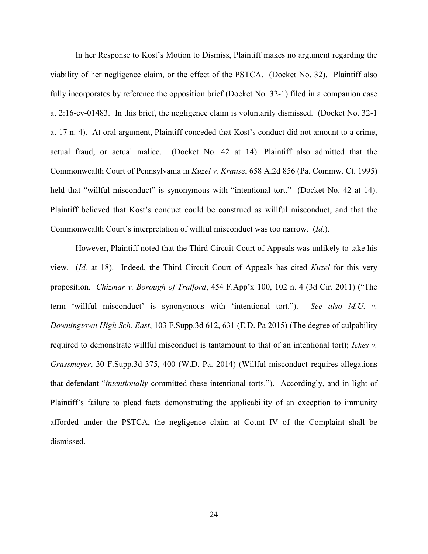In her Response to Kost's Motion to Dismiss, Plaintiff makes no argument regarding the viability of her negligence claim, or the effect of the PSTCA. (Docket No. 32). Plaintiff also fully incorporates by reference the opposition brief (Docket No. 32-1) filed in a companion case at 2:16-cv-01483. In this brief, the negligence claim is voluntarily dismissed. (Docket No. 32-1 at 17 n. 4). At oral argument, Plaintiff conceded that Kost's conduct did not amount to a crime, actual fraud, or actual malice. (Docket No. 42 at 14). Plaintiff also admitted that the Commonwealth Court of Pennsylvania in *Kuzel v. Krause*, 658 A.2d 856 (Pa. Commw. Ct. 1995) held that "willful misconduct" is synonymous with "intentional tort." (Docket No. 42 at 14). Plaintiff believed that Kost's conduct could be construed as willful misconduct, and that the Commonwealth Court's interpretation of willful misconduct was too narrow. (*Id.*).

However, Plaintiff noted that the Third Circuit Court of Appeals was unlikely to take his view. (*Id.* at 18). Indeed, the Third Circuit Court of Appeals has cited *Kuzel* for this very proposition. *Chizmar v. Borough of Trafford*, 454 F.App'x 100, 102 n. 4 (3d Cir. 2011) ("The term 'willful misconduct' is synonymous with 'intentional tort."). *See also M.U. v. Downingtown High Sch. East*, 103 F.Supp.3d 612, 631 (E.D. Pa 2015) (The degree of culpability required to demonstrate willful misconduct is tantamount to that of an intentional tort); *Ickes v. Grassmeyer*, 30 F.Supp.3d 375, 400 (W.D. Pa. 2014) (Willful misconduct requires allegations that defendant "*intentionally* committed these intentional torts."). Accordingly, and in light of Plaintiff's failure to plead facts demonstrating the applicability of an exception to immunity afforded under the PSTCA, the negligence claim at Count IV of the Complaint shall be dismissed.